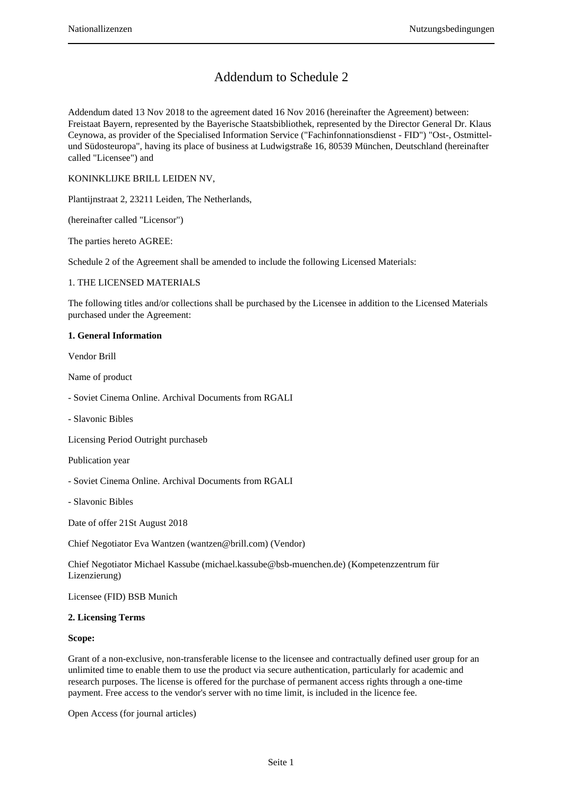# Addendum to Schedule 2

Addendum dated 13 Nov 2018 to the agreement dated 16 Nov 2016 (hereinafter the Agreement) between: Freistaat Bayern, represented by the Bayerische Staatsbibliothek, represented by the Director General Dr. Klaus Ceynowa, as provider of the Specialised Information Service ("Fachinfonnationsdienst - FID") "Ost-, Ostmittelund Südosteuropa", having its place of business at Ludwigstraße 16, 80539 München, Deutschland (hereinafter called "Licensee") and

KONINKLIJKE BRILL LEIDEN NV,

Plantijnstraat 2, 23211 Leiden, The Netherlands,

(hereinafter called "Licensor")

The parties hereto AGREE:

Schedule 2 of the Agreement shall be amended to include the following Licensed Materials:

### 1. THE LICENSED MATERIALS

The following titles and/or collections shall be purchased by the Licensee in addition to the Licensed Materials purchased under the Agreement:

### **1. General Information**

Vendor Brill

Name of product

- Soviet Cinema Online. Archival Documents from RGALI
- Slavonic Bibles

Licensing Period Outright purchaseb

Publication year

- Soviet Cinema Online. Archival Documents from RGALI

- Slavonic Bibles

Date of offer 21St August 2018

Chief Negotiator Eva Wantzen (wantzen@brill.com) (Vendor)

Chief Negotiator Michael Kassube (michael.kassube@bsb-muenchen.de) (Kompetenzzentrum für Lizenzierung)

Licensee (FID) BSB Munich

### **2. Licensing Terms**

#### **Scope:**

Grant of a non-exclusive, non-transferable license to the licensee and contractually defined user group for an unlimited time to enable them to use the product via secure authentication, particularly for academic and research purposes. The license is offered for the purchase of permanent access rights through a one-time payment. Free access to the vendor's server with no time limit, is included in the licence fee.

Open Access (for journal articles)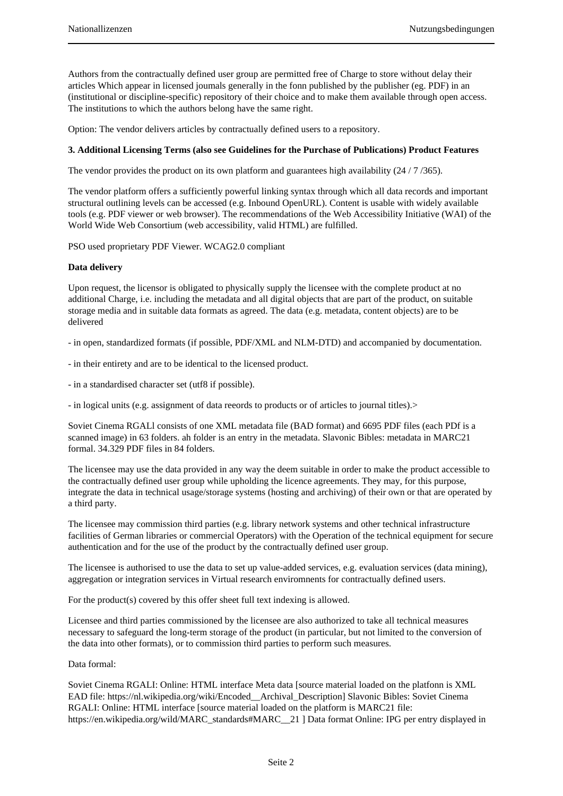Authors from the contractually defined user group are permitted free of Charge to store without delay their articles Which appear in licensed joumals generally in the fonn published by the publisher (eg. PDF) in an (institutional or discipline-specific) repository of their choice and to make them available through open access. The institutions to which the authors belong have the same right.

Option: The vendor delivers articles by contractually defined users to a repository.

### **3. Additional Licensing Terms (also see Guidelines for the Purchase of Publications) Product Features**

The vendor provides the product on its own platform and guarantees high availability (24/7/365).

The vendor platform offers a sufficiently powerful linking syntax through which all data records and important structural outlining levels can be accessed (e.g. Inbound OpenURL). Content is usable with widely available tools (e.g. PDF viewer or web browser). The recommendations of the Web Accessibility Initiative (WAI) of the World Wide Web Consortium (web accessibility, valid HTML) are fulfilled.

PSO used proprietary PDF Viewer. WCAG2.0 compliant

# **Data delivery**

Upon request, the licensor is obligated to physically supply the licensee with the complete product at no additional Charge, i.e. including the metadata and all digital objects that are part of the product, on suitable storage media and in suitable data formats as agreed. The data (e.g. metadata, content objects) are to be delivered

- in open, standardized formats (if possible, PDF/XML and NLM-DTD) and accompanied by documentation.

- in their entirety and are to be identical to the licensed product.
- in a standardised character set (utf8 if possible).

- in logical units (e.g. assignment of data reeords to products or of articles to journal titles).>

Soviet Cinema RGALl consists of one XML metadata file (BAD format) and 6695 PDF files (each PDf is a scanned image) in 63 folders. ah folder is an entry in the metadata. Slavonic Bibles: metadata in MARC21 formal. 34.329 PDF files in 84 folders.

The licensee may use the data provided in any way the deem suitable in order to make the product accessible to the contractually defined user group while upholding the licence agreements. They may, for this purpose, integrate the data in technical usage/storage systems (hosting and archiving) of their own or that are operated by a third party.

The licensee may commission third parties (e.g. library network systems and other technical infrastructure facilities of German libraries or commercial Operators) with the Operation of the technical equipment for secure authentication and for the use of the product by the contractually defined user group.

The licensee is authorised to use the data to set up value-added services, e.g. evaluation services (data mining), aggregation or integration services in Virtual research enviromnents for contractually defined users.

For the product(s) covered by this offer sheet full text indexing is allowed.

Licensee and third parties commissioned by the licensee are also authorized to take all technical measures necessary to safeguard the long-term storage of the product (in particular, but not limited to the conversion of the data into other formats), or to commission third parties to perform such measures.

### Data formal:

Soviet Cinema RGALI: Online: HTML interface Meta data [source material loaded on the platfonn is XML EAD file: https://nl.wikipedia.org/wiki/Encoded\_\_Archival\_Description] Slavonic Bibles: Soviet Cinema RGALI: Online: HTML interface [source material loaded on the platform is MARC21 file: https://en.wikipedia.org/wild/MARC\_standards#MARC\_\_21 ] Data format Online: IPG per entry displayed in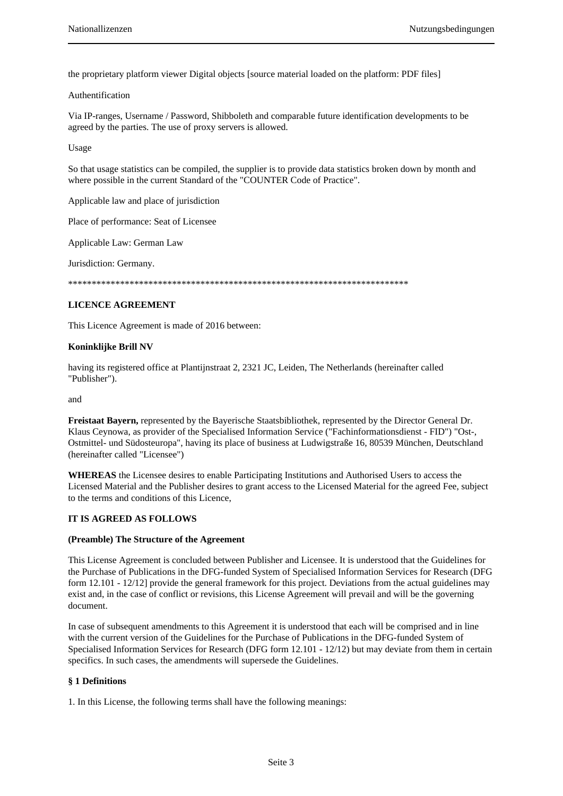the proprietary platform viewer Digital objects [source material loaded on the platform: PDF files]

### Authentification

Via IP-ranges, Username / Password, Shibboleth and comparable future identification developments to be agreed by the parties. The use of proxy servers is allowed.

Usage

So that usage statistics can be compiled, the supplier is to provide data statistics broken down by month and where possible in the current Standard of the "COUNTER Code of Practice".

Applicable law and place of jurisdiction

Place of performance: Seat of Licensee

Applicable Law: German Law

Jurisdiction: Germany.

\*\*\*\*\*\*\*\*\*\*\*\*\*\*\*\*\*\*\*\*\*\*\*\*\*\*\*\*\*\*\*\*\*\*\*\*\*\*\*\*\*\*\*\*\*\*\*\*\*\*\*\*\*\*\*\*\*\*\*\*\*\*\*\*\*\*\*\*\*\*\*\*

### **LICENCE AGREEMENT**

This Licence Agreement is made of 2016 between:

### **Koninklijke Brill NV**

having its registered office at Plantijnstraat 2, 2321 JC, Leiden, The Netherlands (hereinafter called "Publisher").

and

**Freistaat Bayern,** represented by the Bayerische Staatsbibliothek, represented by the Director General Dr. Klaus Ceynowa, as provider of the Specialised Information Service ("Fachinformationsdienst - FID") "Ost-, Ostmittel- und Südosteuropa", having its place of business at Ludwigstraße 16, 80539 München, Deutschland (hereinafter called "Licensee")

**WHEREAS** the Licensee desires to enable Participating Institutions and Authorised Users to access the Licensed Material and the Publisher desires to grant access to the Licensed Material for the agreed Fee, subject to the terms and conditions of this Licence,

### **IT IS AGREED AS FOLLOWS**

#### **(Preamble) The Structure of the Agreement**

This License Agreement is concluded between Publisher and Licensee. It is understood that the Guidelines for the Purchase of Publications in the DFG-funded System of Specialised Information Services for Research (DFG form 12.101 - 12/12] provide the general framework for this project. Deviations from the actual guidelines may exist and, in the case of conflict or revisions, this License Agreement will prevail and will be the governing document.

In case of subsequent amendments to this Agreement it is understood that each will be comprised and in line with the current version of the Guidelines for the Purchase of Publications in the DFG-funded System of Specialised Information Services for Research (DFG form 12.101 - 12/12) but may deviate from them in certain specifics. In such cases, the amendments will supersede the Guidelines.

### **§ 1 Definitions**

1. In this License, the following terms shall have the following meanings: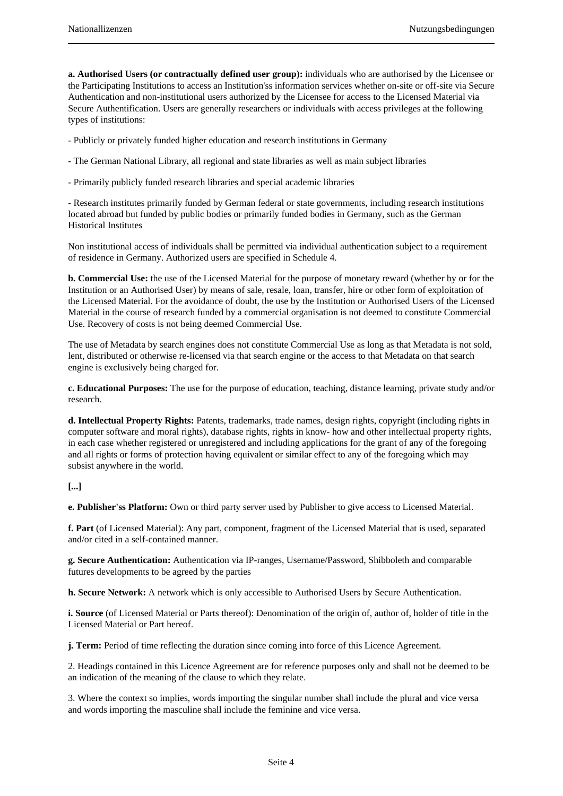**a. Authorised Users (or contractually defined user group):** individuals who are authorised by the Licensee or the Participating Institutions to access an Institution'ss information services whether on-site or off-site via Secure Authentication and non-institutional users authorized by the Licensee for access to the Licensed Material via Secure Authentification. Users are generally researchers or individuals with access privileges at the following types of institutions:

- Publicly or privately funded higher education and research institutions in Germany

- The German National Library, all regional and state libraries as well as main subject libraries

- Primarily publicly funded research libraries and special academic libraries

- Research institutes primarily funded by German federal or state governments, including research institutions located abroad but funded by public bodies or primarily funded bodies in Germany, such as the German Historical Institutes

Non institutional access of individuals shall be permitted via individual authentication subject to a requirement of residence in Germany. Authorized users are specified in Schedule 4.

**b. Commercial Use:** the use of the Licensed Material for the purpose of monetary reward (whether by or for the Institution or an Authorised User) by means of sale, resale, loan, transfer, hire or other form of exploitation of the Licensed Material. For the avoidance of doubt, the use by the Institution or Authorised Users of the Licensed Material in the course of research funded by a commercial organisation is not deemed to constitute Commercial Use. Recovery of costs is not being deemed Commercial Use.

The use of Metadata by search engines does not constitute Commercial Use as long as that Metadata is not sold, lent, distributed or otherwise re-licensed via that search engine or the access to that Metadata on that search engine is exclusively being charged for.

**c. Educational Purposes:** The use for the purpose of education, teaching, distance learning, private study and/or research.

**d. Intellectual Property Rights:** Patents, trademarks, trade names, design rights, copyright (including rights in computer software and moral rights), database rights, rights in know- how and other intellectual property rights, in each case whether registered or unregistered and including applications for the grant of any of the foregoing and all rights or forms of protection having equivalent or similar effect to any of the foregoing which may subsist anywhere in the world.

# **[...]**

**e. Publisher'ss Platform:** Own or third party server used by Publisher to give access to Licensed Material.

**f. Part** (of Licensed Material): Any part, component, fragment of the Licensed Material that is used, separated and/or cited in a self-contained manner.

**g. Secure Authentication:** Authentication via IP-ranges, Username/Password, Shibboleth and comparable futures developments to be agreed by the parties

**h. Secure Network:** A network which is only accessible to Authorised Users by Secure Authentication.

**i. Source** (of Licensed Material or Parts thereof): Denomination of the origin of, author of, holder of title in the Licensed Material or Part hereof.

**j. Term:** Period of time reflecting the duration since coming into force of this Licence Agreement.

2. Headings contained in this Licence Agreement are for reference purposes only and shall not be deemed to be an indication of the meaning of the clause to which they relate.

3. Where the context so implies, words importing the singular number shall include the plural and vice versa and words importing the masculine shall include the feminine and vice versa.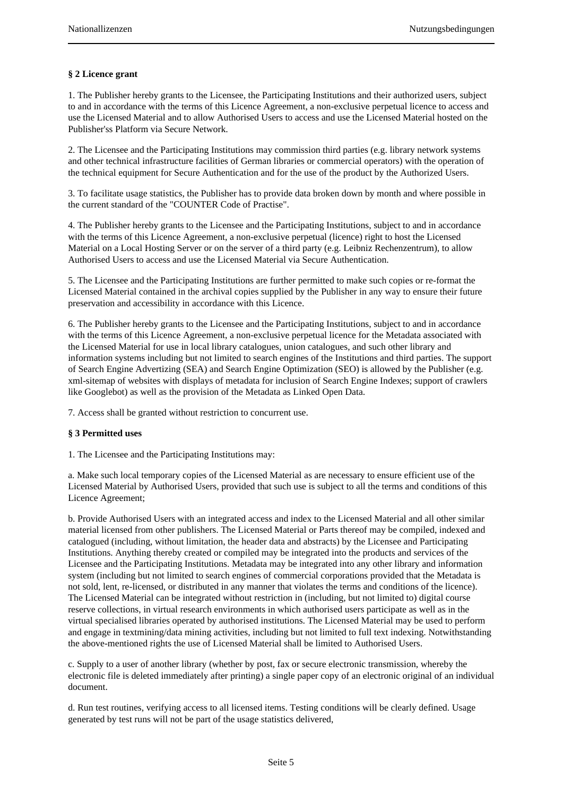# **§ 2 Licence grant**

1. The Publisher hereby grants to the Licensee, the Participating Institutions and their authorized users, subject to and in accordance with the terms of this Licence Agreement, a non-exclusive perpetual licence to access and use the Licensed Material and to allow Authorised Users to access and use the Licensed Material hosted on the Publisher'ss Platform via Secure Network.

2. The Licensee and the Participating Institutions may commission third parties (e.g. library network systems and other technical infrastructure facilities of German libraries or commercial operators) with the operation of the technical equipment for Secure Authentication and for the use of the product by the Authorized Users.

3. To facilitate usage statistics, the Publisher has to provide data broken down by month and where possible in the current standard of the "COUNTER Code of Practise".

4. The Publisher hereby grants to the Licensee and the Participating Institutions, subject to and in accordance with the terms of this Licence Agreement, a non-exclusive perpetual (licence) right to host the Licensed Material on a Local Hosting Server or on the server of a third party (e.g. Leibniz Rechenzentrum), to allow Authorised Users to access and use the Licensed Material via Secure Authentication.

5. The Licensee and the Participating Institutions are further permitted to make such copies or re-format the Licensed Material contained in the archival copies supplied by the Publisher in any way to ensure their future preservation and accessibility in accordance with this Licence.

6. The Publisher hereby grants to the Licensee and the Participating Institutions, subject to and in accordance with the terms of this Licence Agreement, a non-exclusive perpetual licence for the Metadata associated with the Licensed Material for use in local library catalogues, union catalogues, and such other library and information systems including but not limited to search engines of the Institutions and third parties. The support of Search Engine Advertizing (SEA) and Search Engine Optimization (SEO) is allowed by the Publisher (e.g. xml-sitemap of websites with displays of metadata for inclusion of Search Engine Indexes; support of crawlers like Googlebot) as well as the provision of the Metadata as Linked Open Data.

7. Access shall be granted without restriction to concurrent use.

# **§ 3 Permitted uses**

1. The Licensee and the Participating Institutions may:

a. Make such local temporary copies of the Licensed Material as are necessary to ensure efficient use of the Licensed Material by Authorised Users, provided that such use is subject to all the terms and conditions of this Licence Agreement;

b. Provide Authorised Users with an integrated access and index to the Licensed Material and all other similar material licensed from other publishers. The Licensed Material or Parts thereof may be compiled, indexed and catalogued (including, without limitation, the header data and abstracts) by the Licensee and Participating Institutions. Anything thereby created or compiled may be integrated into the products and services of the Licensee and the Participating Institutions. Metadata may be integrated into any other library and information system (including but not limited to search engines of commercial corporations provided that the Metadata is not sold, lent, re-licensed, or distributed in any manner that violates the terms and conditions of the licence). The Licensed Material can be integrated without restriction in (including, but not limited to) digital course reserve collections, in virtual research environments in which authorised users participate as well as in the virtual specialised libraries operated by authorised institutions. The Licensed Material may be used to perform and engage in textmining/data mining activities, including but not limited to full text indexing. Notwithstanding the above-mentioned rights the use of Licensed Material shall be limited to Authorised Users.

c. Supply to a user of another library (whether by post, fax or secure electronic transmission, whereby the electronic file is deleted immediately after printing) a single paper copy of an electronic original of an individual document.

d. Run test routines, verifying access to all licensed items. Testing conditions will be clearly defined. Usage generated by test runs will not be part of the usage statistics delivered,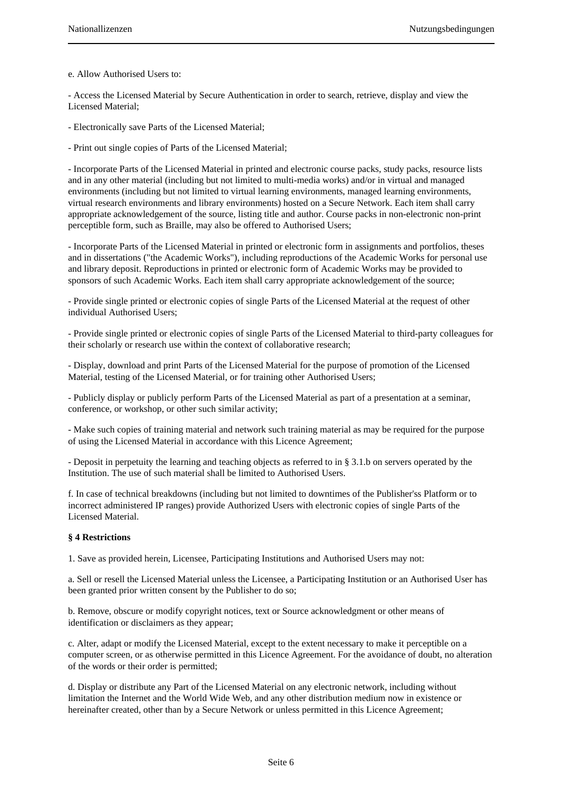e. Allow Authorised Users to:

- Access the Licensed Material by Secure Authentication in order to search, retrieve, display and view the Licensed Material;

- Electronically save Parts of the Licensed Material;

- Print out single copies of Parts of the Licensed Material;

- Incorporate Parts of the Licensed Material in printed and electronic course packs, study packs, resource lists and in any other material (including but not limited to multi-media works) and/or in virtual and managed environments (including but not limited to virtual learning environments, managed learning environments, virtual research environments and library environments) hosted on a Secure Network. Each item shall carry appropriate acknowledgement of the source, listing title and author. Course packs in non-electronic non-print perceptible form, such as Braille, may also be offered to Authorised Users;

- Incorporate Parts of the Licensed Material in printed or electronic form in assignments and portfolios, theses and in dissertations ("the Academic Works"), including reproductions of the Academic Works for personal use and library deposit. Reproductions in printed or electronic form of Academic Works may be provided to sponsors of such Academic Works. Each item shall carry appropriate acknowledgement of the source;

- Provide single printed or electronic copies of single Parts of the Licensed Material at the request of other individual Authorised Users;

- Provide single printed or electronic copies of single Parts of the Licensed Material to third-party colleagues for their scholarly or research use within the context of collaborative research;

- Display, download and print Parts of the Licensed Material for the purpose of promotion of the Licensed Material, testing of the Licensed Material, or for training other Authorised Users;

- Publicly display or publicly perform Parts of the Licensed Material as part of a presentation at a seminar, conference, or workshop, or other such similar activity;

- Make such copies of training material and network such training material as may be required for the purpose of using the Licensed Material in accordance with this Licence Agreement;

- Deposit in perpetuity the learning and teaching objects as referred to in § 3.1.b on servers operated by the Institution. The use of such material shall be limited to Authorised Users.

f. In case of technical breakdowns (including but not limited to downtimes of the Publisher'ss Platform or to incorrect administered IP ranges) provide Authorized Users with electronic copies of single Parts of the Licensed Material.

### **§ 4 Restrictions**

1. Save as provided herein, Licensee, Participating Institutions and Authorised Users may not:

a. Sell or resell the Licensed Material unless the Licensee, a Participating Institution or an Authorised User has been granted prior written consent by the Publisher to do so;

b. Remove, obscure or modify copyright notices, text or Source acknowledgment or other means of identification or disclaimers as they appear;

c. Alter, adapt or modify the Licensed Material, except to the extent necessary to make it perceptible on a computer screen, or as otherwise permitted in this Licence Agreement. For the avoidance of doubt, no alteration of the words or their order is permitted;

d. Display or distribute any Part of the Licensed Material on any electronic network, including without limitation the Internet and the World Wide Web, and any other distribution medium now in existence or hereinafter created, other than by a Secure Network or unless permitted in this Licence Agreement;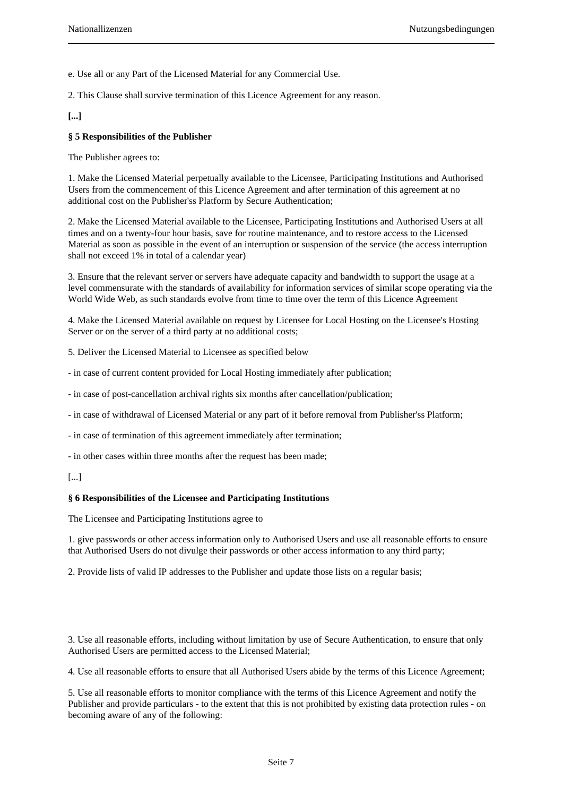e. Use all or any Part of the Licensed Material for any Commercial Use.

2. This Clause shall survive termination of this Licence Agreement for any reason.

**[...]**

# **§ 5 Responsibilities of the Publisher**

The Publisher agrees to:

1. Make the Licensed Material perpetually available to the Licensee, Participating Institutions and Authorised Users from the commencement of this Licence Agreement and after termination of this agreement at no additional cost on the Publisher'ss Platform by Secure Authentication;

2. Make the Licensed Material available to the Licensee, Participating Institutions and Authorised Users at all times and on a twenty-four hour basis, save for routine maintenance, and to restore access to the Licensed Material as soon as possible in the event of an interruption or suspension of the service (the access interruption shall not exceed 1% in total of a calendar year)

3. Ensure that the relevant server or servers have adequate capacity and bandwidth to support the usage at a level commensurate with the standards of availability for information services of similar scope operating via the World Wide Web, as such standards evolve from time to time over the term of this Licence Agreement

4. Make the Licensed Material available on request by Licensee for Local Hosting on the Licensee's Hosting Server or on the server of a third party at no additional costs;

5. Deliver the Licensed Material to Licensee as specified below

- in case of current content provided for Local Hosting immediately after publication;

- in case of post-cancellation archival rights six months after cancellation/publication;
- in case of withdrawal of Licensed Material or any part of it before removal from Publisher'ss Platform;

- in case of termination of this agreement immediately after termination;

- in other cases within three months after the request has been made;

#### **§ 6 Responsibilities of the Licensee and Participating Institutions**

The Licensee and Participating Institutions agree to

1. give passwords or other access information only to Authorised Users and use all reasonable efforts to ensure that Authorised Users do not divulge their passwords or other access information to any third party;

2. Provide lists of valid IP addresses to the Publisher and update those lists on a regular basis;

3. Use all reasonable efforts, including without limitation by use of Secure Authentication, to ensure that only Authorised Users are permitted access to the Licensed Material;

4. Use all reasonable efforts to ensure that all Authorised Users abide by the terms of this Licence Agreement;

5. Use all reasonable efforts to monitor compliance with the terms of this Licence Agreement and notify the Publisher and provide particulars - to the extent that this is not prohibited by existing data protection rules - on becoming aware of any of the following:

<sup>[...]</sup>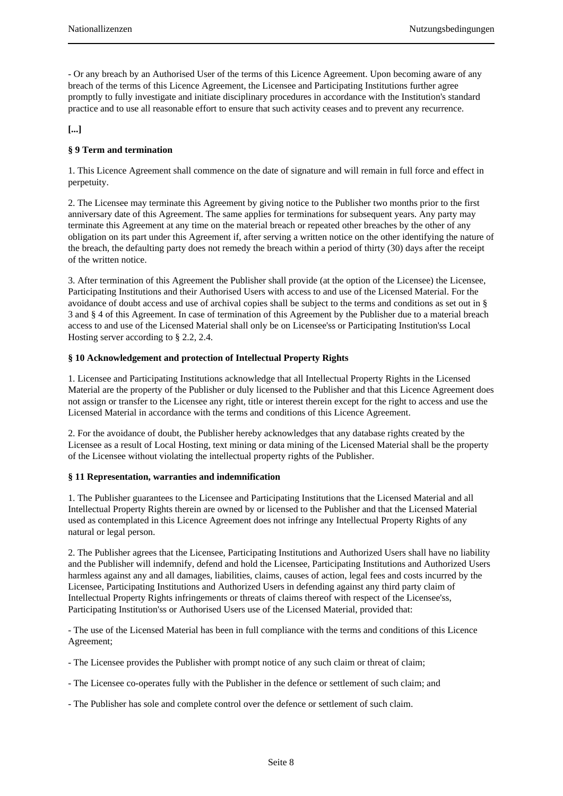- Or any breach by an Authorised User of the terms of this Licence Agreement. Upon becoming aware of any breach of the terms of this Licence Agreement, the Licensee and Participating Institutions further agree promptly to fully investigate and initiate disciplinary procedures in accordance with the Institution's standard practice and to use all reasonable effort to ensure that such activity ceases and to prevent any recurrence.

# **[...]**

# **§ 9 Term and termination**

1. This Licence Agreement shall commence on the date of signature and will remain in full force and effect in perpetuity.

2. The Licensee may terminate this Agreement by giving notice to the Publisher two months prior to the first anniversary date of this Agreement. The same applies for terminations for subsequent years. Any party may terminate this Agreement at any time on the material breach or repeated other breaches by the other of any obligation on its part under this Agreement if, after serving a written notice on the other identifying the nature of the breach, the defaulting party does not remedy the breach within a period of thirty (30) days after the receipt of the written notice.

3. After termination of this Agreement the Publisher shall provide (at the option of the Licensee) the Licensee, Participating Institutions and their Authorised Users with access to and use of the Licensed Material. For the avoidance of doubt access and use of archival copies shall be subject to the terms and conditions as set out in § 3 and § 4 of this Agreement. In case of termination of this Agreement by the Publisher due to a material breach access to and use of the Licensed Material shall only be on Licensee'ss or Participating Institution'ss Local Hosting server according to § 2.2, 2.4.

### **§ 10 Acknowledgement and protection of Intellectual Property Rights**

1. Licensee and Participating Institutions acknowledge that all Intellectual Property Rights in the Licensed Material are the property of the Publisher or duly licensed to the Publisher and that this Licence Agreement does not assign or transfer to the Licensee any right, title or interest therein except for the right to access and use the Licensed Material in accordance with the terms and conditions of this Licence Agreement.

2. For the avoidance of doubt, the Publisher hereby acknowledges that any database rights created by the Licensee as a result of Local Hosting, text mining or data mining of the Licensed Material shall be the property of the Licensee without violating the intellectual property rights of the Publisher.

### **§ 11 Representation, warranties and indemnification**

1. The Publisher guarantees to the Licensee and Participating Institutions that the Licensed Material and all Intellectual Property Rights therein are owned by or licensed to the Publisher and that the Licensed Material used as contemplated in this Licence Agreement does not infringe any Intellectual Property Rights of any natural or legal person.

2. The Publisher agrees that the Licensee, Participating Institutions and Authorized Users shall have no liability and the Publisher will indemnify, defend and hold the Licensee, Participating Institutions and Authorized Users harmless against any and all damages, liabilities, claims, causes of action, legal fees and costs incurred by the Licensee, Participating Institutions and Authorized Users in defending against any third party claim of Intellectual Property Rights infringements or threats of claims thereof with respect of the Licensee'ss, Participating Institution'ss or Authorised Users use of the Licensed Material, provided that:

- The use of the Licensed Material has been in full compliance with the terms and conditions of this Licence Agreement;

- The Licensee provides the Publisher with prompt notice of any such claim or threat of claim;

- The Licensee co-operates fully with the Publisher in the defence or settlement of such claim; and

- The Publisher has sole and complete control over the defence or settlement of such claim.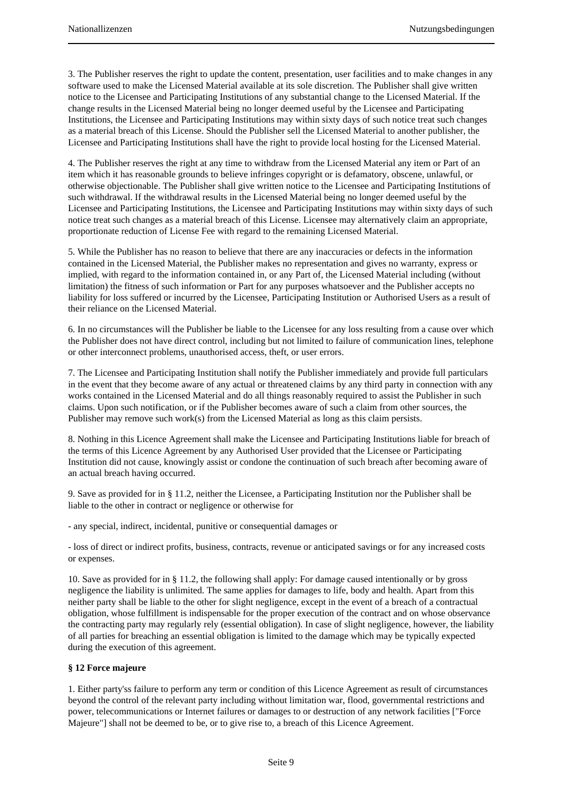3. The Publisher reserves the right to update the content, presentation, user facilities and to make changes in any software used to make the Licensed Material available at its sole discretion. The Publisher shall give written notice to the Licensee and Participating Institutions of any substantial change to the Licensed Material. If the change results in the Licensed Material being no longer deemed useful by the Licensee and Participating Institutions, the Licensee and Participating Institutions may within sixty days of such notice treat such changes as a material breach of this License. Should the Publisher sell the Licensed Material to another publisher, the Licensee and Participating Institutions shall have the right to provide local hosting for the Licensed Material.

4. The Publisher reserves the right at any time to withdraw from the Licensed Material any item or Part of an item which it has reasonable grounds to believe infringes copyright or is defamatory, obscene, unlawful, or otherwise objectionable. The Publisher shall give written notice to the Licensee and Participating Institutions of such withdrawal. If the withdrawal results in the Licensed Material being no longer deemed useful by the Licensee and Participating Institutions, the Licensee and Participating Institutions may within sixty days of such notice treat such changes as a material breach of this License. Licensee may alternatively claim an appropriate, proportionate reduction of License Fee with regard to the remaining Licensed Material.

5. While the Publisher has no reason to believe that there are any inaccuracies or defects in the information contained in the Licensed Material, the Publisher makes no representation and gives no warranty, express or implied, with regard to the information contained in, or any Part of, the Licensed Material including (without limitation) the fitness of such information or Part for any purposes whatsoever and the Publisher accepts no liability for loss suffered or incurred by the Licensee, Participating Institution or Authorised Users as a result of their reliance on the Licensed Material.

6. In no circumstances will the Publisher be liable to the Licensee for any loss resulting from a cause over which the Publisher does not have direct control, including but not limited to failure of communication lines, telephone or other interconnect problems, unauthorised access, theft, or user errors.

7. The Licensee and Participating Institution shall notify the Publisher immediately and provide full particulars in the event that they become aware of any actual or threatened claims by any third party in connection with any works contained in the Licensed Material and do all things reasonably required to assist the Publisher in such claims. Upon such notification, or if the Publisher becomes aware of such a claim from other sources, the Publisher may remove such work(s) from the Licensed Material as long as this claim persists.

8. Nothing in this Licence Agreement shall make the Licensee and Participating Institutions liable for breach of the terms of this Licence Agreement by any Authorised User provided that the Licensee or Participating Institution did not cause, knowingly assist or condone the continuation of such breach after becoming aware of an actual breach having occurred.

9. Save as provided for in § 11.2, neither the Licensee, a Participating Institution nor the Publisher shall be liable to the other in contract or negligence or otherwise for

- any special, indirect, incidental, punitive or consequential damages or

- loss of direct or indirect profits, business, contracts, revenue or anticipated savings or for any increased costs or expenses.

10. Save as provided for in § 11.2, the following shall apply: For damage caused intentionally or by gross negligence the liability is unlimited. The same applies for damages to life, body and health. Apart from this neither party shall be liable to the other for slight negligence, except in the event of a breach of a contractual obligation, whose fulfillment is indispensable for the proper execution of the contract and on whose observance the contracting party may regularly rely (essential obligation). In case of slight negligence, however, the liability of all parties for breaching an essential obligation is limited to the damage which may be typically expected during the execution of this agreement.

### **§ 12 Force majeure**

1. Either party'ss failure to perform any term or condition of this Licence Agreement as result of circumstances beyond the control of the relevant party including without limitation war, flood, governmental restrictions and power, telecommunications or Internet failures or damages to or destruction of any network facilities ["Force Majeure"] shall not be deemed to be, or to give rise to, a breach of this Licence Agreement.